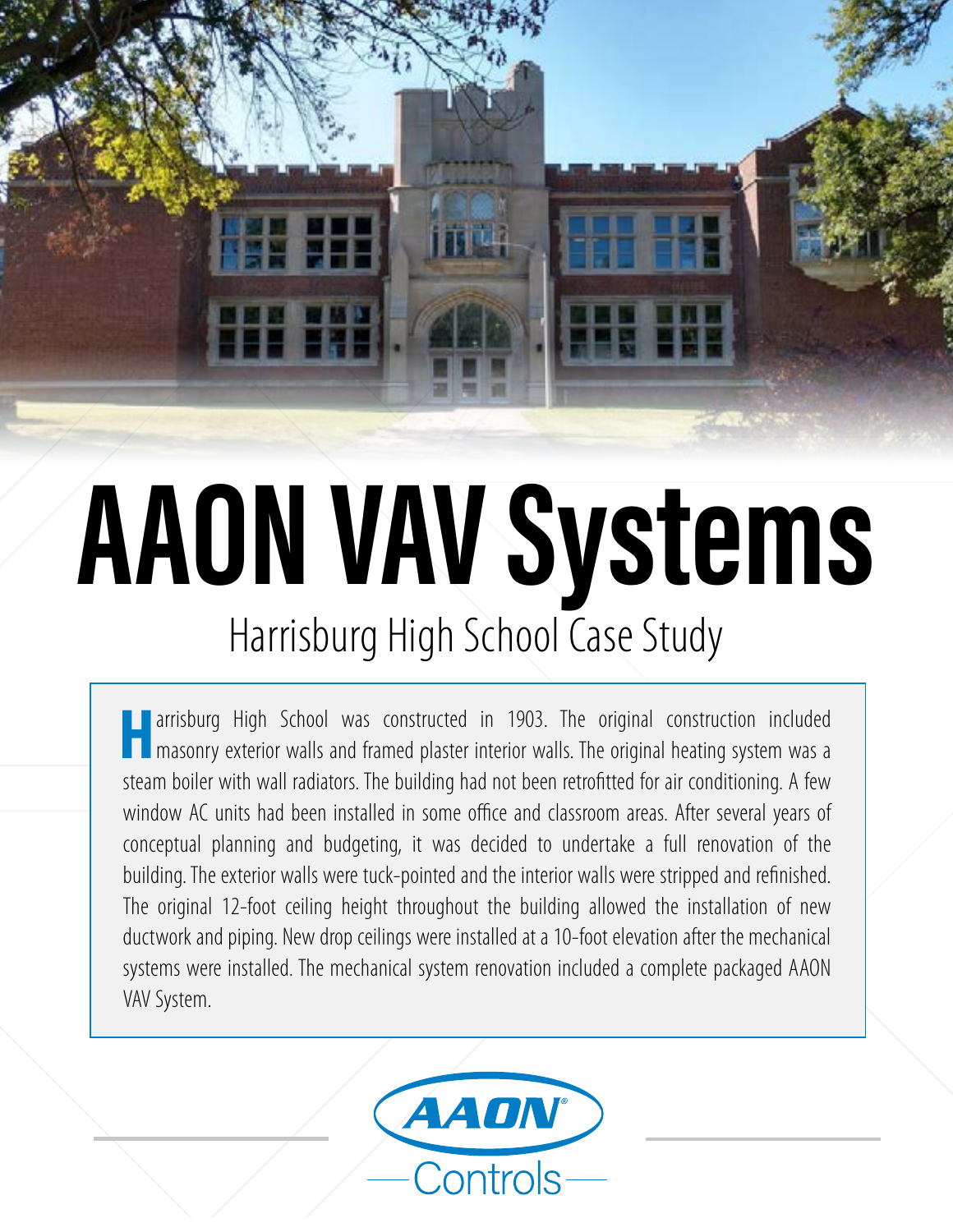

# **AAON VAV Systems** Harrisburg High School Case Study

**Harrisburg High School was constructed in 1903. The original construction included n** masonry exterior walls and framed plaster interior walls. The original heating system was a steam boiler with wall radiators. The building had not been retrofitted for air conditioning. A few window AC units had been installed in some office and classroom areas. After several years of conceptual planning and budgeting, it was decided to undertake a full renovation of the building. The exterior walls were tuck-pointed and the interior walls were stripped and refinished. The original 12-foot ceiling height throughout the building allowed the installation of new ductwork and piping. New drop ceilings were installed at a 10-foot elevation after the mechanical systems were installed. The mechanical system renovation included a complete packaged AAON VAV System.

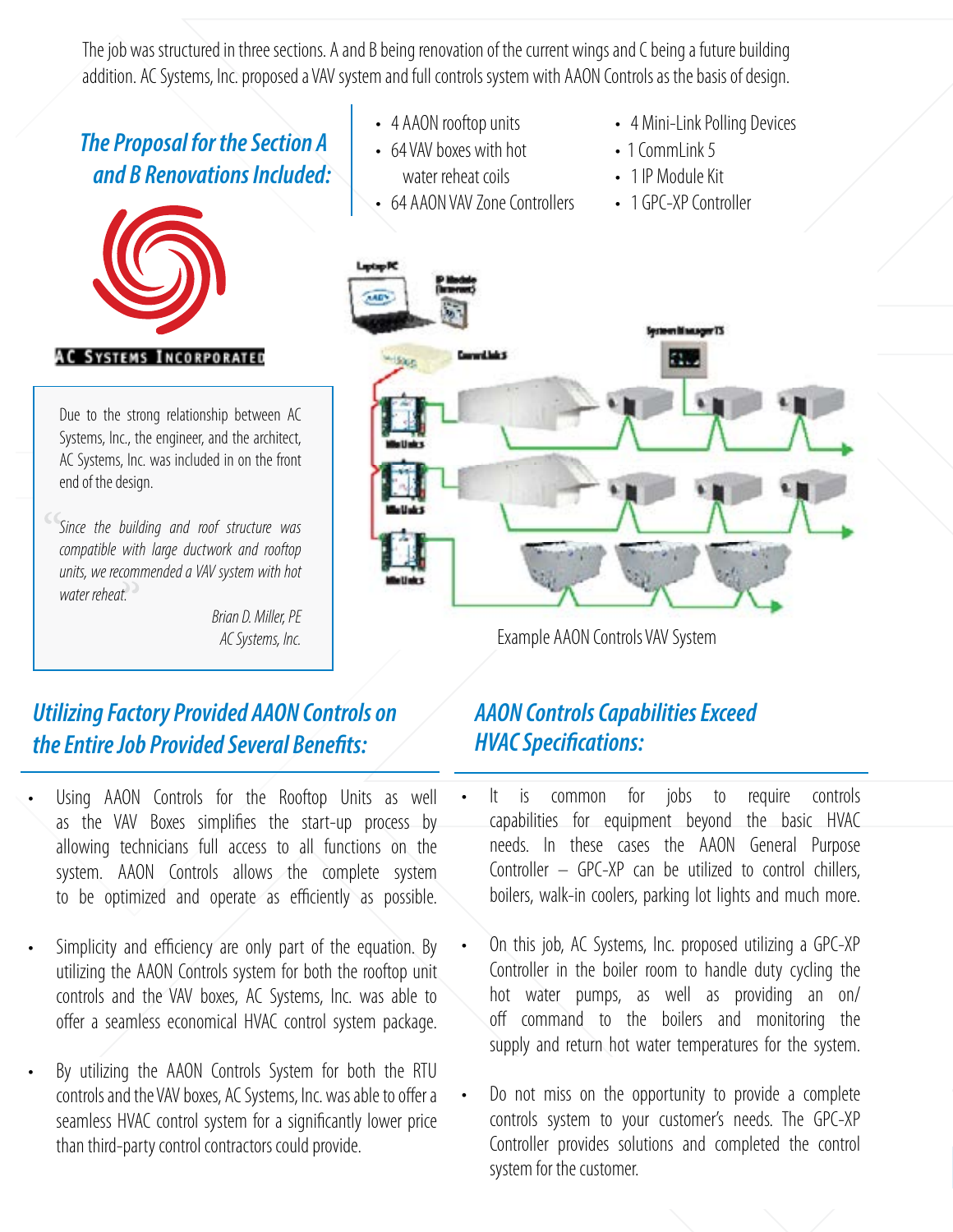The job was structured in three sections. A and B being renovation of the current wings and C being a future building addition. AC Systems, Inc. proposed a VAV system and full controls system with AAON Controls as the basis of design.

#### *The Proposal for the Section A and B Renovations Included:*



Due to the strong relationship between AC Systems, Inc., the engineer, and the architect, AC Systems, Inc. was included in on the front end of the design.

*Since the building and roof structure was compatible with large ductwork and rooftop units, we recommended a VAV system with hot water reheat.* 

> *Brian D. Miller, PE AC Systems, Inc.*

#### *Utilizing Factory Provided AAON Controls on the Entire Job Provided Several Benefits:*

- Using AAON Controls for the Rooftop Units as well as the VAV Boxes simplifies the start-up process by allowing technicians full access to all functions on the system. AAON Controls allows the complete system to be optimized and operate as efficiently as possible.
- Simplicity and efficiency are only part of the equation. By utilizing the AAON Controls system for both the rooftop unit controls and the VAV boxes, AC Systems, Inc. was able to offer a seamless economical HVAC control system package.
- By utilizing the AAON Controls System for both the RTU controls and the VAV boxes, AC Systems, Inc. was able to offer a seamless HVAC control system for a significantly lower price than third-party control contractors could provide.
- 4 AAON rooftop units
- 64 VAV boxes with hot water reheat coils
- 64 AAON VAV Zone Controllers
- 4 Mini-Link Polling Devices
- 1 CommLink 5
- 1 IP Module Kit
- 1 GPC-XP Controller



Example AAON Controls VAV System

#### *AAON Controls Capabilities Exceed HVAC Specifications:*

- It is common for jobs to require controls capabilities for equipment beyond the basic HVAC needs. In these cases the AAON General Purpose Controller – GPC-XP can be utilized to control chillers, boilers, walk-in coolers, parking lot lights and much more.
- On this job, AC Systems, Inc. proposed utilizing a GPC-XP Controller in the boiler room to handle duty cycling the hot water pumps, as well as providing an on/ off command to the boilers and monitoring the supply and return hot water temperatures for the system.
- Do not miss on the opportunity to provide a complete controls system to your customer's needs. The GPC-XP Controller provides solutions and completed the control system for the customer.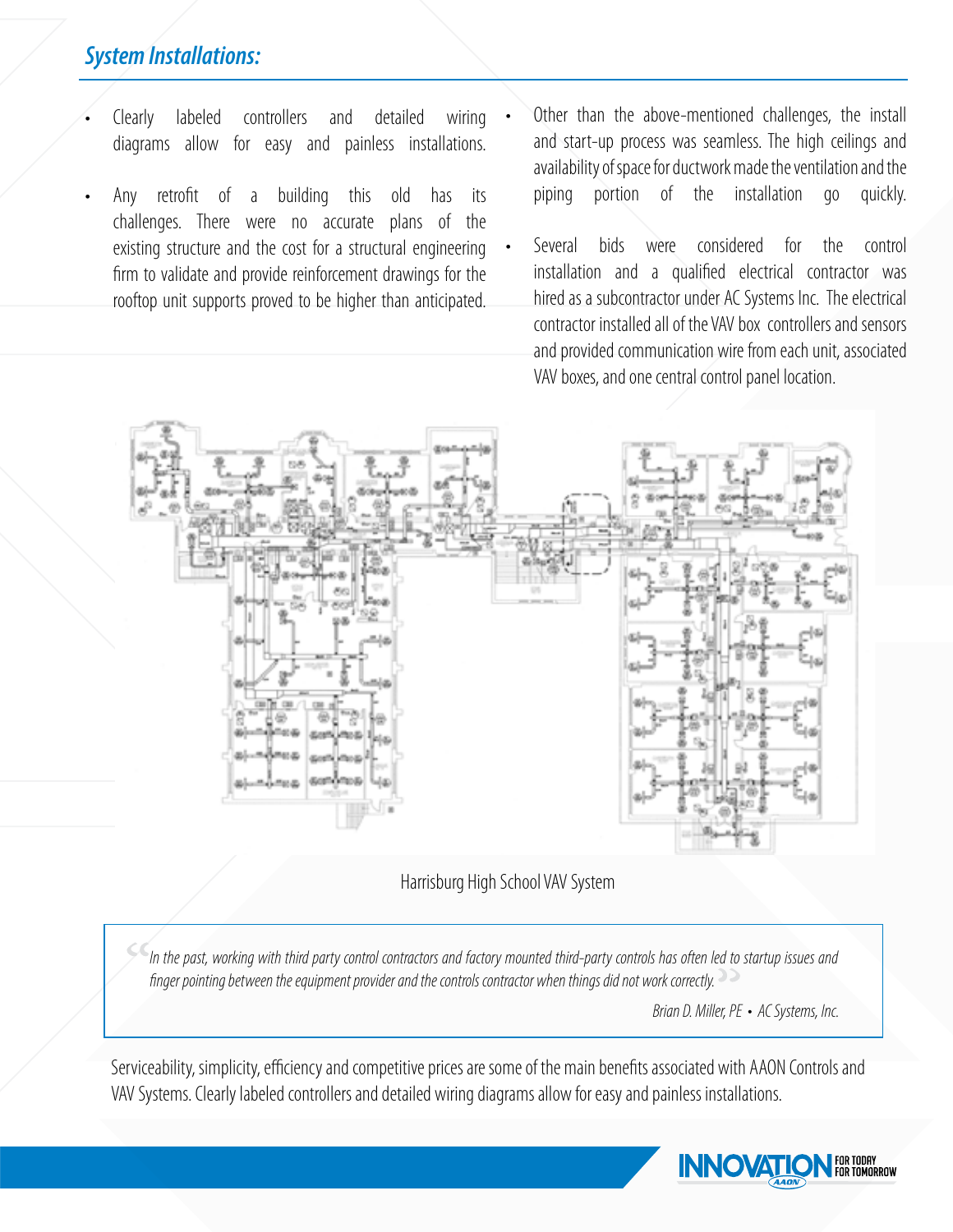#### *System Installations:*

- Clearly labeled controllers and detailed wiring diagrams allow for easy and painless installations.
- Any retrofit of a building this old has its challenges. There were no accurate plans of the existing structure and the cost for a structural engineering firm to validate and provide reinforcement drawings for the rooftop unit supports proved to be higher than anticipated.
- Other than the above-mentioned challenges, the install and start-up process was seamless. The high ceilings and availability of space for ductwork made the ventilation and the piping portion of the installation go quickly.
- Several bids were considered for the control installation and a qualified electrical contractor was hired as a subcontractor under AC Systems Inc. The electrical contractor installed all of the VAV box controllers and sensors and provided communication wire from each unit, associated VAV boxes, and one central control panel location.



Harrisburg High School VAV System

*In the past, working with third party control contractors and factory mounted third-party controls has often led to startup issues and finger pointing between the equipment provider and the controls contractor when things did not work correctly.*

*Brian D. Miller, PE • AC Systems, Inc.*

Serviceability, simplicity, efficiency and competitive prices are some of the main benefits associated with AAON Controls and VAV Systems. Clearly labeled controllers and detailed wiring diagrams allow for easy and painless installations.